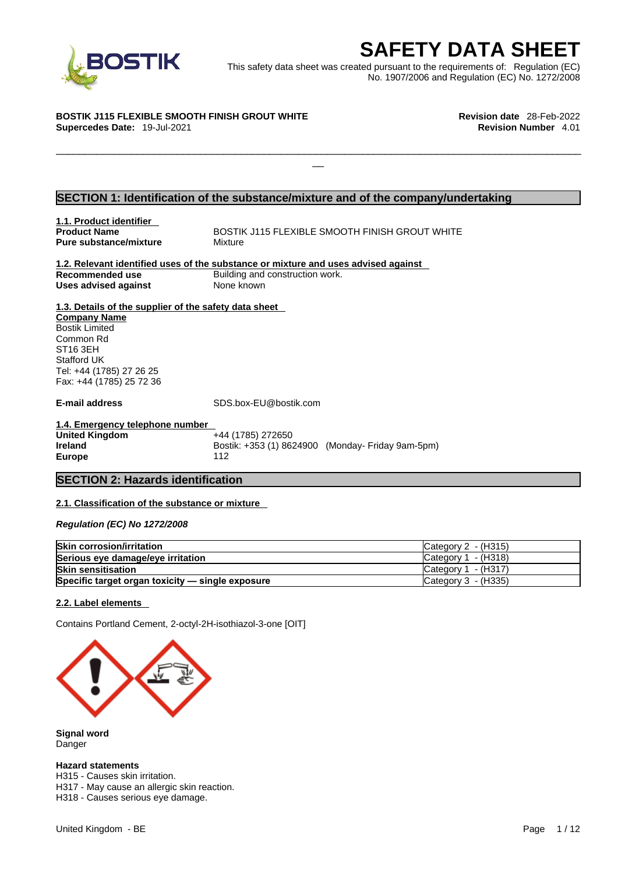

**SAFETY DATA SHEET**<br>
et was created pursuant to the requirements of: Regulation (EC)<br>
No. 1907/2006 and Regulation (EC) No. 1272/2008<br>
Revision date 28-Feb-2022<br>
Revision Number 4.01 This safety data sheet was created pursuant to the requirements of: Regulation (EC) No. 1907/2006 and Regulation (EC) No. 1272/2008

 $\Box$ 

#### **BOSTIK J115 FLEXIBLE SMOOTH FINISH GROUT WHITE Revision date** 28-Feb-2022

**Supercedes Date:** 19-Jul-2021 **Revision Number** 4.01

#### **SECTION 1: Identification of the substance/mixture and of the company/undertaking**

**1.1. Product identifier Pure substance/mixture Mixture** 

**BOSTIK J115 FLEXIBLE SMOOTH FINISH GROUT WHITE** 

**1.2. Relevant identified uses of the substance or mixture and uses advised against Recommended use Building and construction work. Uses advised against** None known

**1.3. Details of the supplier of the safety data sheet Company Name** Bostik Limited Common Rd ST16 3EH Stafford UK Tel: +44 (1785) 27 26 25 Fax: +44 (1785) 25 72 36

**E-mail address** SDS.box-EU@bostik.com

**1.4. Emergency telephone number United Kingdom Ireland Bostik: +353 (1) 8624900 (Monday- Friday 9am-5pm) Europe** 112

#### **SECTION 2: Hazards identification**

#### **2.1. Classification of the substance or mixture**

*Regulation (EC) No 1272/2008* 

| <b>Skin corrosion/irritation</b>                 | Category 2 - (H315)   |
|--------------------------------------------------|-----------------------|
| Serious eye damage/eye irritation                | Category $1 - (H318)$ |
| <b>Skin sensitisation</b>                        | Category $1 - (H317)$ |
| Specific target organ toxicity - single exposure | Category 3 - (H335)   |

#### **2.2. Label elements**

Contains Portland Cement, 2-octyl-2H-isothiazol-3-one [OIT]



**Signal word** Danger

#### **Hazard statements**

H315 - Causes skin irritation. H317 - May cause an allergic skin reaction. H318 - Causes serious eye damage.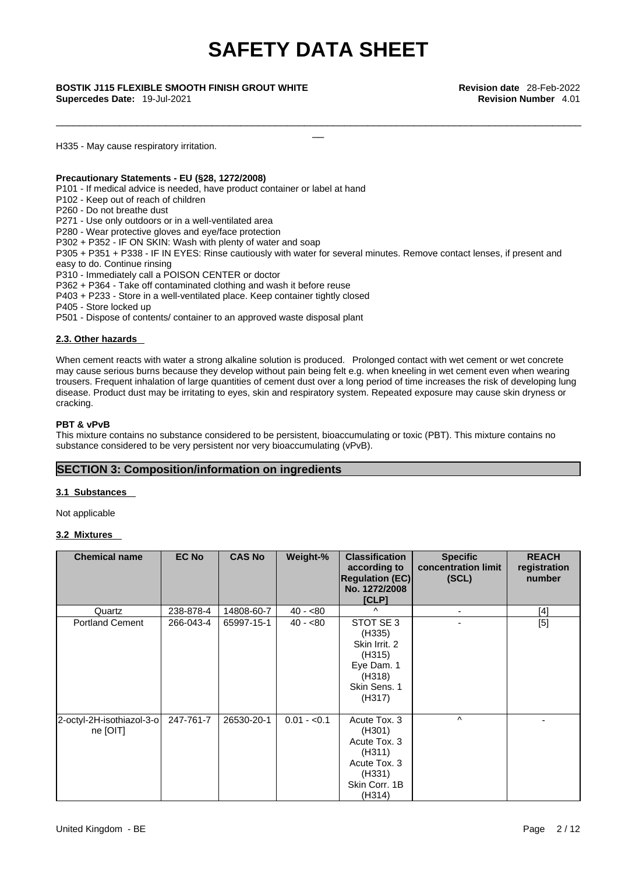\_\_\_\_\_\_\_\_\_\_\_\_\_\_\_\_\_\_\_\_\_\_\_\_\_\_\_\_\_\_\_\_\_\_\_\_\_\_\_\_\_\_\_\_\_\_\_\_\_\_\_\_\_\_\_\_\_\_\_\_\_\_\_\_\_\_\_\_\_\_\_\_\_\_\_\_\_\_\_\_\_\_\_\_\_\_\_\_\_\_\_

\_\_ **BOSTIK J115 FLEXIBLE SMOOTH FINISH GROUT WHITE Revision date** 28-Feb-2022 **Supercedes Date:** 19-Jul-2021 **Revision Number** 4.01

H335 - May cause respiratory irritation.

#### **Precautionary Statements - EU (§28, 1272/2008)**

P101 - If medical advice is needed, have product container or label at hand

P102 - Keep out of reach of children

P260 - Do not breathe dust

P271 - Use only outdoors or in a well-ventilated area

P280 - Wear protective gloves and eye/face protection

P302 + P352 - IF ON SKIN: Wash with plenty of water and soap

P305 + P351 + P338 - IF IN EYES: Rinse cautiously with water for several minutes. Remove contact lenses, if present and easy to do. Continue rinsing

P310 - Immediately call a POISON CENTER or doctor

P362 + P364 - Take off contaminated clothing and wash it before reuse

P403 + P233 - Store in a well-ventilated place. Keep container tightly closed

P405 - Store locked up

P501 - Dispose of contents/ container to an approved waste disposal plant

#### **2.3. Other hazards**

When cement reacts with water a strong alkaline solution is produced. Prolonged contact with wet cement or wet concrete may cause serious burns because they develop without pain being felt e.g. when kneeling in wet cement even when wearing trousers. Frequent inhalation of large quantities of cement dust over a long period of time increases the risk of developing lung disease. Product dust may be irritating to eyes, skin and respiratory system. Repeated exposure may cause skin dryness or cracking.

#### **PBT & vPvB**

This mixture contains no substance considered to be persistent, bioaccumulating or toxic (PBT). This mixture contains no substance considered to be very persistent nor very bioaccumulating (vPvB).

#### **SECTION 3: Composition/information on ingredients**

#### **3.1 Substances**

Not applicable

#### **3.2 Mixtures**

| <b>Chemical name</b>                  | <b>EC No</b> | <b>CAS No</b> | Weight-%     | <b>Classification</b><br>according to<br><b>Regulation (EC)</b><br>No. 1272/2008<br>[CLP]             | <b>Specific</b><br>concentration limit<br>(SCL) | <b>REACH</b><br>registration<br>number |
|---------------------------------------|--------------|---------------|--------------|-------------------------------------------------------------------------------------------------------|-------------------------------------------------|----------------------------------------|
| Quartz                                | 238-878-4    | 14808-60-7    | $40 - 80$    | $\wedge$                                                                                              | $\blacksquare$                                  | [4]                                    |
| <b>Portland Cement</b>                | 266-043-4    | 65997-15-1    | $40 - 80$    | STOT SE 3<br>(H335)<br>Skin Irrit. 2<br>(H315)<br>Eye Dam. 1<br>(H318)<br>Skin Sens. 1<br>(H317)      |                                                 | [5]                                    |
| 2-octyl-2H-isothiazol-3-o<br>ne [OIT] | 247-761-7    | 26530-20-1    | $0.01 - 0.1$ | Acute Tox. 3<br>(H301)<br>Acute Tox. 3<br>(H311)<br>Acute Tox. 3<br>(H331)<br>Skin Corr. 1B<br>(H314) | $\wedge$                                        |                                        |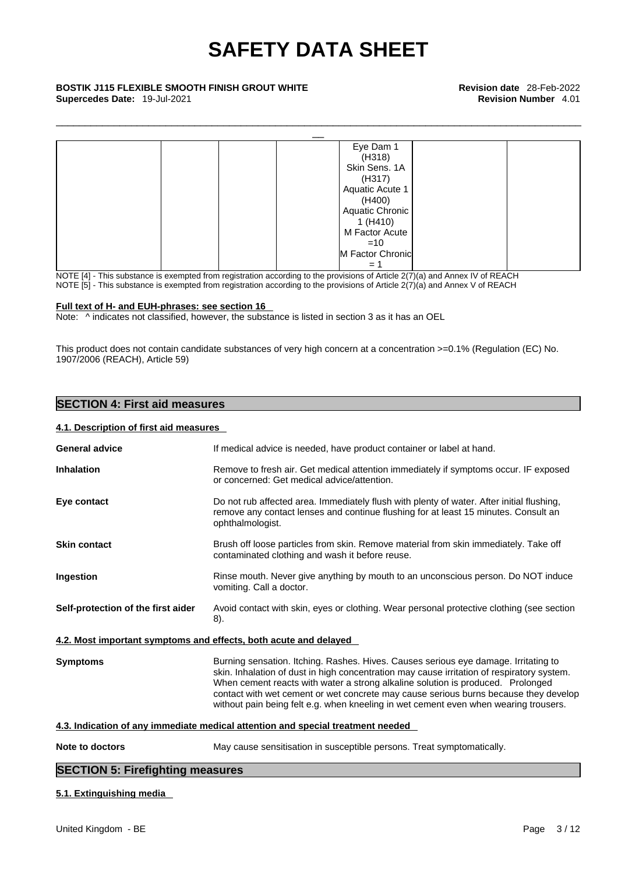\_\_\_\_\_\_\_\_\_\_\_\_\_\_\_\_\_\_\_\_\_\_\_\_\_\_\_\_\_\_\_\_\_\_\_\_\_\_\_\_\_\_\_\_\_\_\_\_\_\_\_\_\_\_\_\_\_\_\_\_\_\_\_\_\_\_\_\_\_\_\_\_\_\_\_\_\_\_\_\_\_\_\_\_\_\_\_\_\_\_\_

| <b>BOSTIK J115 FLEXIBLE SMOOTH FINISH GROUT WHITE</b><br>Supercedes Date: 19-Jul-2021 | <b>Revision date</b> 28-Feb-2022<br><b>Revision Number 4.01</b> |  |
|---------------------------------------------------------------------------------------|-----------------------------------------------------------------|--|
|                                                                                       |                                                                 |  |
|                                                                                       | Eye Dam 1                                                       |  |
|                                                                                       | (H318)                                                          |  |
|                                                                                       | Skin Sens. 1A                                                   |  |
|                                                                                       | (H317)                                                          |  |
|                                                                                       | Aquatic Acute 1                                                 |  |
|                                                                                       | (H400)                                                          |  |
|                                                                                       | Aquatic Chronic                                                 |  |
|                                                                                       | 1(H410)                                                         |  |
|                                                                                       | M Factor Acute                                                  |  |
|                                                                                       | $=10$                                                           |  |
|                                                                                       | M Factor Chronic                                                |  |
|                                                                                       | $= 1$                                                           |  |

NOTE [4] - This substance is exempted from registration according to the provisions of Article 2(7)(a) and Annex IV of REACH NOTE [5] - This substance is exempted from registration according to the provisions of Article  $2(7)(a)$  and Annex V of REACH

#### **Full text of H- and EUH-phrases: see section 16**

Note: ^ indicates not classified, however, the substance is listed in section 3 as it has an OEL

This product does not contain candidate substances of very high concern at a concentration >=0.1% (Regulation (EC) No. 1907/2006 (REACH), Article 59)

### **SECTION 4: First aid measures**

#### **4.1. Description of first aid measures**

| <b>General advice</b>                   | If medical advice is needed, have product container or label at hand.                                                                                                                                                                                                                                                                                                                                                                                |  |
|-----------------------------------------|------------------------------------------------------------------------------------------------------------------------------------------------------------------------------------------------------------------------------------------------------------------------------------------------------------------------------------------------------------------------------------------------------------------------------------------------------|--|
| <b>Inhalation</b>                       | Remove to fresh air. Get medical attention immediately if symptoms occur. IF exposed<br>or concerned: Get medical advice/attention.                                                                                                                                                                                                                                                                                                                  |  |
| Eye contact                             | Do not rub affected area. Immediately flush with plenty of water. After initial flushing,<br>remove any contact lenses and continue flushing for at least 15 minutes. Consult an<br>ophthalmologist.                                                                                                                                                                                                                                                 |  |
| <b>Skin contact</b>                     | Brush off loose particles from skin. Remove material from skin immediately. Take off<br>contaminated clothing and wash it before reuse.                                                                                                                                                                                                                                                                                                              |  |
| Ingestion                               | Rinse mouth. Never give anything by mouth to an unconscious person. Do NOT induce<br>vomiting. Call a doctor.                                                                                                                                                                                                                                                                                                                                        |  |
| Self-protection of the first aider      | Avoid contact with skin, eyes or clothing. Wear personal protective clothing (see section<br>8).                                                                                                                                                                                                                                                                                                                                                     |  |
|                                         | 4.2. Most important symptoms and effects, both acute and delayed                                                                                                                                                                                                                                                                                                                                                                                     |  |
| <b>Symptoms</b>                         | Burning sensation. Itching. Rashes. Hives. Causes serious eye damage. Irritating to<br>skin. Inhalation of dust in high concentration may cause irritation of respiratory system.<br>When cement reacts with water a strong alkaline solution is produced. Prolonged<br>contact with wet cement or wet concrete may cause serious burns because they develop<br>without pain being felt e.g. when kneeling in wet cement even when wearing trousers. |  |
|                                         | 4.3. Indication of any immediate medical attention and special treatment needed                                                                                                                                                                                                                                                                                                                                                                      |  |
| Note to doctors                         | May cause sensitisation in susceptible persons. Treat symptomatically.                                                                                                                                                                                                                                                                                                                                                                               |  |
| <b>SECTION 5: Firefighting measures</b> |                                                                                                                                                                                                                                                                                                                                                                                                                                                      |  |
|                                         |                                                                                                                                                                                                                                                                                                                                                                                                                                                      |  |

#### **5.1. Extinguishing media**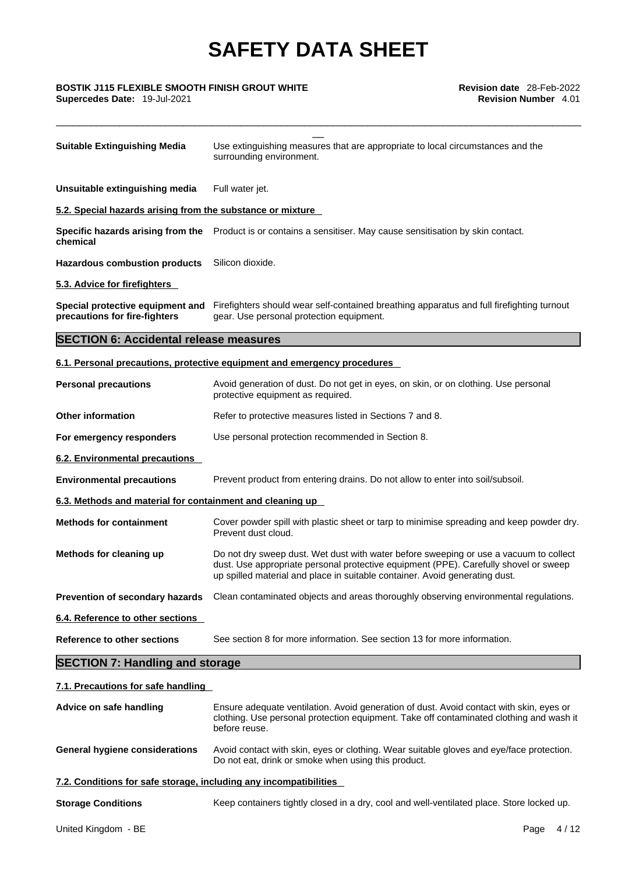\_\_\_\_\_\_\_\_\_\_\_\_\_\_\_\_\_\_\_\_\_\_\_\_\_\_\_\_\_\_\_\_\_\_\_\_\_\_\_\_\_\_\_\_\_\_\_\_\_\_\_\_\_\_\_\_\_\_\_\_\_\_\_\_\_\_\_\_\_\_\_\_\_\_\_\_\_\_\_\_\_\_\_\_\_\_\_\_\_\_\_

# \_\_ **BOSTIK J115 FLEXIBLE SMOOTH FINISH GROUT WHITE Revision date** 28-Feb-2022 **Supercedes Date:** 19-Jul-2021 **Revision Number** 4.01

| <b>Suitable Extinguishing Media</b>                               | Use extinguishing measures that are appropriate to local circumstances and the<br>surrounding environment.                                                                                                                                                   |  |  |  |  |
|-------------------------------------------------------------------|--------------------------------------------------------------------------------------------------------------------------------------------------------------------------------------------------------------------------------------------------------------|--|--|--|--|
| Unsuitable extinguishing media                                    | Full water jet.                                                                                                                                                                                                                                              |  |  |  |  |
| 5.2. Special hazards arising from the substance or mixture        |                                                                                                                                                                                                                                                              |  |  |  |  |
| Specific hazards arising from the<br>chemical                     | Product is or contains a sensitiser. May cause sensitisation by skin contact.                                                                                                                                                                                |  |  |  |  |
| <b>Hazardous combustion products</b>                              | Silicon dioxide.                                                                                                                                                                                                                                             |  |  |  |  |
| 5.3. Advice for firefighters                                      |                                                                                                                                                                                                                                                              |  |  |  |  |
| Special protective equipment and<br>precautions for fire-fighters | Firefighters should wear self-contained breathing apparatus and full firefighting turnout<br>gear. Use personal protection equipment.                                                                                                                        |  |  |  |  |
| <b>SECTION 6: Accidental release measures</b>                     |                                                                                                                                                                                                                                                              |  |  |  |  |
|                                                                   | 6.1. Personal precautions, protective equipment and emergency procedures                                                                                                                                                                                     |  |  |  |  |
| <b>Personal precautions</b>                                       | Avoid generation of dust. Do not get in eyes, on skin, or on clothing. Use personal<br>protective equipment as required.                                                                                                                                     |  |  |  |  |
| <b>Other information</b>                                          | Refer to protective measures listed in Sections 7 and 8.                                                                                                                                                                                                     |  |  |  |  |
| For emergency responders                                          | Use personal protection recommended in Section 8.                                                                                                                                                                                                            |  |  |  |  |
| 6.2. Environmental precautions                                    |                                                                                                                                                                                                                                                              |  |  |  |  |
| <b>Environmental precautions</b>                                  | Prevent product from entering drains. Do not allow to enter into soil/subsoil.                                                                                                                                                                               |  |  |  |  |
| 6.3. Methods and material for containment and cleaning up         |                                                                                                                                                                                                                                                              |  |  |  |  |
| <b>Methods for containment</b>                                    | Cover powder spill with plastic sheet or tarp to minimise spreading and keep powder dry.<br>Prevent dust cloud.                                                                                                                                              |  |  |  |  |
| Methods for cleaning up                                           | Do not dry sweep dust. Wet dust with water before sweeping or use a vacuum to collect<br>dust. Use appropriate personal protective equipment (PPE). Carefully shovel or sweep<br>up spilled material and place in suitable container. Avoid generating dust. |  |  |  |  |
| Prevention of secondary hazards                                   | Clean contaminated objects and areas thoroughly observing environmental regulations.                                                                                                                                                                         |  |  |  |  |
| 6.4. Reference to other sections                                  |                                                                                                                                                                                                                                                              |  |  |  |  |
| <b>Reference to other sections</b>                                | See section 8 for more information. See section 13 for more information.                                                                                                                                                                                     |  |  |  |  |
| <b>SECTION 7: Handling and storage</b>                            |                                                                                                                                                                                                                                                              |  |  |  |  |
| 7.1. Precautions for safe handling                                |                                                                                                                                                                                                                                                              |  |  |  |  |
| Advice on safe handling                                           | Ensure adequate ventilation. Avoid generation of dust. Avoid contact with skin, eyes or<br>clothing. Use personal protection equipment. Take off contaminated clothing and wash it<br>before reuse.                                                          |  |  |  |  |
| <b>General hygiene considerations</b>                             | Avoid contact with skin, eyes or clothing. Wear suitable gloves and eye/face protection.<br>Do not eat, drink or smoke when using this product.                                                                                                              |  |  |  |  |
| 7.2. Conditions for safe storage, including any incompatibilities |                                                                                                                                                                                                                                                              |  |  |  |  |
| <b>Storage Conditions</b>                                         | Keep containers tightly closed in a dry, cool and well-ventilated place. Store locked up.                                                                                                                                                                    |  |  |  |  |
| United Kingdom - BE                                               | Page<br>4/12                                                                                                                                                                                                                                                 |  |  |  |  |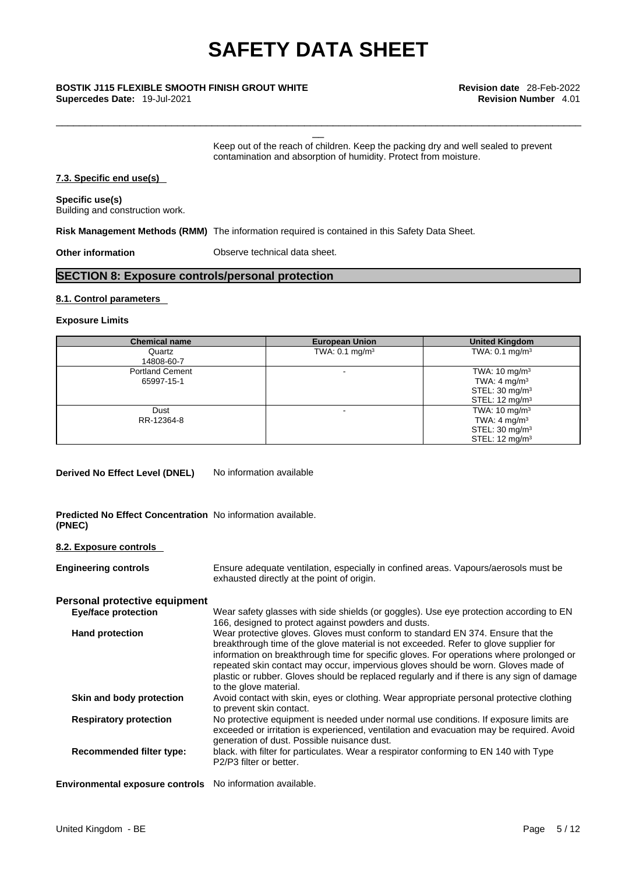# \_\_ **BOSTIK J115 FLEXIBLE SMOOTH FINISH GROUT WHITE Revision date** 28-Feb-2022

**Supercedes Date:** 19-Jul-2021 **Revision Number** 4.01

Keep out of the reach of children. Keep the packing dry and well sealed to prevent contamination and absorption of humidity. Protect from moisture.

\_\_\_\_\_\_\_\_\_\_\_\_\_\_\_\_\_\_\_\_\_\_\_\_\_\_\_\_\_\_\_\_\_\_\_\_\_\_\_\_\_\_\_\_\_\_\_\_\_\_\_\_\_\_\_\_\_\_\_\_\_\_\_\_\_\_\_\_\_\_\_\_\_\_\_\_\_\_\_\_\_\_\_\_\_\_\_\_\_\_\_

#### **7.3. Specific end use(s)**

**Specific use(s)** Building and construction work.

**Risk Management Methods (RMM)** The information required is contained in this Safety Data Sheet.

**Other information Observe technical data sheet.** 

### **SECTION 8: Exposure controls/personal protection**

#### **8.1. Control parameters**

#### **Exposure Limits**

| <b>Chemical name</b>   | <b>European Union</b>     | <b>United Kingdom</b>     |
|------------------------|---------------------------|---------------------------|
| Quartz                 | TWA: $0.1 \text{ mg/m}^3$ | TWA: $0.1 \text{ mg/m}^3$ |
| 14808-60-7             |                           |                           |
| <b>Portland Cement</b> |                           | TWA: $10 \text{ mg/m}^3$  |
| 65997-15-1             |                           | TWA: $4 \text{ mg/m}^3$   |
|                        |                           | STEL: $30 \text{ mg/m}^3$ |
|                        |                           | STEL: $12 \text{ mg/m}^3$ |
| Dust                   | <b>.</b>                  | TWA: $10 \text{ mg/m}^3$  |
| RR-12364-8             |                           | TWA: 4 mg/m <sup>3</sup>  |
|                        |                           | STEL: $30 \text{ mg/m}^3$ |
|                        |                           | STEL: $12 \text{ mg/m}^3$ |

**Derived No Effect Level (DNEL)** No information available

#### **Predicted No Effect Concentration** No information available. **(PNEC)**

#### **8.2. Exposure controls**

| <b>Engineering controls</b>                               | Ensure adequate ventilation, especially in confined areas. Vapours/aerosols must be<br>exhausted directly at the point of origin.                                                                                                                                                                                                                                                                                                                                              |
|-----------------------------------------------------------|--------------------------------------------------------------------------------------------------------------------------------------------------------------------------------------------------------------------------------------------------------------------------------------------------------------------------------------------------------------------------------------------------------------------------------------------------------------------------------|
| Personal protective equipment                             |                                                                                                                                                                                                                                                                                                                                                                                                                                                                                |
| <b>Eye/face protection</b>                                | Wear safety glasses with side shields (or goggles). Use eye protection according to EN<br>166, designed to protect against powders and dusts.                                                                                                                                                                                                                                                                                                                                  |
| <b>Hand protection</b>                                    | Wear protective gloves. Gloves must conform to standard EN 374. Ensure that the<br>breakthrough time of the glove material is not exceeded. Refer to glove supplier for<br>information on breakthrough time for specific gloves. For operations where prolonged or<br>repeated skin contact may occur, impervious gloves should be worn. Gloves made of<br>plastic or rubber. Gloves should be replaced regularly and if there is any sign of damage<br>to the glove material. |
| Skin and body protection                                  | Avoid contact with skin, eyes or clothing. Wear appropriate personal protective clothing<br>to prevent skin contact.                                                                                                                                                                                                                                                                                                                                                           |
| <b>Respiratory protection</b>                             | No protective equipment is needed under normal use conditions. If exposure limits are<br>exceeded or irritation is experienced, ventilation and evacuation may be required. Avoid<br>generation of dust. Possible nuisance dust.                                                                                                                                                                                                                                               |
| Recommended filter type:                                  | black, with filter for particulates. Wear a respirator conforming to EN 140 with Type<br>P2/P3 filter or better.                                                                                                                                                                                                                                                                                                                                                               |
| Environmental exposure controls No information available. |                                                                                                                                                                                                                                                                                                                                                                                                                                                                                |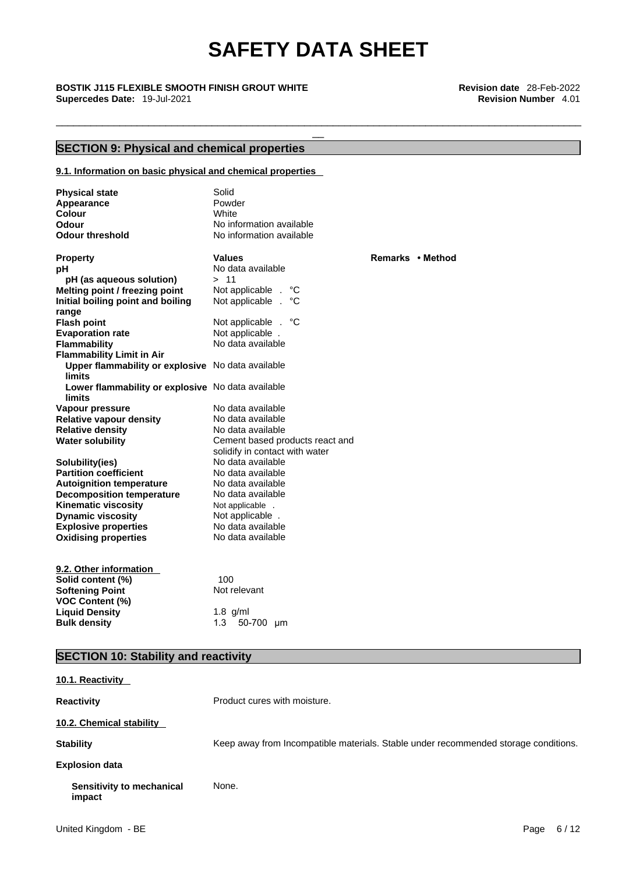\_\_\_\_\_\_\_\_\_\_\_\_\_\_\_\_\_\_\_\_\_\_\_\_\_\_\_\_\_\_\_\_\_\_\_\_\_\_\_\_\_\_\_\_\_\_\_\_\_\_\_\_\_\_\_\_\_\_\_\_\_\_\_\_\_\_\_\_\_\_\_\_\_\_\_\_\_\_\_\_\_\_\_\_\_\_\_\_\_\_\_

# \_\_ **BOSTIK J115 FLEXIBLE SMOOTH FINISH GROUT WHITE Revision date** 28-Feb-2022 **Supercedes Date:** 19-Jul-2021 **Revision Number** 4.01

### **SECTION 9: Physical and chemical properties**

#### **9.1. Information on basic physical and chemical properties**

| <b>Physical state</b><br>Appearance<br>Colour<br>Odour<br><b>Odour threshold</b>                                                  | Solid<br>Powder<br>White<br>No information available<br>No information available                                                 |                  |
|-----------------------------------------------------------------------------------------------------------------------------------|----------------------------------------------------------------------------------------------------------------------------------|------------------|
| <b>Property</b><br>рH<br>pH (as aqueous solution)<br>Melting point / freezing point<br>Initial boiling point and boiling          | <b>Values</b><br>No data available<br>> 11<br>Not applicable .<br>°С<br>Not applicable .<br>°C                                   | Remarks • Method |
| range<br><b>Flash point</b><br><b>Evaporation rate</b><br><b>Flammability</b><br><b>Flammability Limit in Air</b>                 | Not applicable . °C<br>Not applicable.<br>No data available                                                                      |                  |
| Upper flammability or explosive No data available<br><b>limits</b><br>Lower flammability or explosive No data available<br>limits |                                                                                                                                  |                  |
| Vapour pressure<br><b>Relative vapour density</b><br><b>Relative density</b><br><b>Water solubility</b>                           | No data available<br>No data available<br>No data available<br>Cement based products react and<br>solidify in contact with water |                  |
| Solubility(ies)<br><b>Partition coefficient</b><br><b>Autoignition temperature</b><br><b>Decomposition temperature</b>            | No data available<br>No data available<br>No data available<br>No data available                                                 |                  |
| <b>Kinematic viscosity</b><br><b>Dynamic viscosity</b><br><b>Explosive properties</b><br><b>Oxidising properties</b>              | Not applicable .<br>Not applicable.<br>No data available<br>No data available                                                    |                  |
| 9.2. Other information<br>Solid content (%)<br><b>Softening Point</b>                                                             | 100<br>Not relevant                                                                                                              |                  |
| <b>VOC Content (%)</b><br><b>Liquid Density</b><br><b>Bulk density</b>                                                            | $1.8$ g/ml<br>1.3<br>50-700 µm                                                                                                   |                  |

### **SECTION 10: Stability and reactivity**

| 10.1. Reactivity                    |                                                                                     |
|-------------------------------------|-------------------------------------------------------------------------------------|
| <b>Reactivity</b>                   | Product cures with moisture.                                                        |
| 10.2. Chemical stability            |                                                                                     |
| <b>Stability</b>                    | Keep away from Incompatible materials. Stable under recommended storage conditions. |
| <b>Explosion data</b>               |                                                                                     |
| Sensitivity to mechanical<br>impact | None.                                                                               |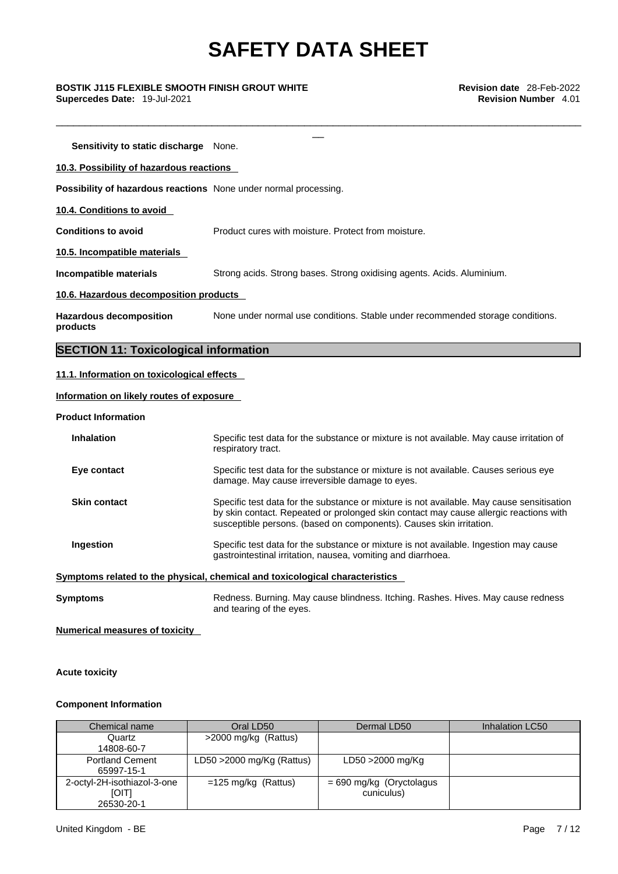\_\_\_\_\_\_\_\_\_\_\_\_\_\_\_\_\_\_\_\_\_\_\_\_\_\_\_\_\_\_\_\_\_\_\_\_\_\_\_\_\_\_\_\_\_\_\_\_\_\_\_\_\_\_\_\_\_\_\_\_\_\_\_\_\_\_\_\_\_\_\_\_\_\_\_\_\_\_\_\_\_\_\_\_\_\_\_\_\_\_\_

\_\_ **BOSTIK J115 FLEXIBLE SMOOTH FINISH GROUT WHITE Revision date** 28-Feb-2022 **Supercedes Date:** 19-Jul-2021 **Revision Number** 4.01

**Sensitivity to static discharge** None. **10.3. Possibility of hazardous reactions Possibility of hazardous reactions** None under normal processing. **10.4. Conditions to avoid Conditions to avoid** Product cures with moisture. Protect from moisture. **10.5. Incompatible materials Incompatible materials** Strong acids. Strong bases. Strong oxidising agents. Acids. Aluminium. **10.6. Hazardous decomposition products Hazardous decomposition products**  None under normal use conditions. Stable under recommended storage conditions. **SECTION 11: Toxicological information** 

#### **11.1. Information on toxicological effects**

#### **Information on likely routes of exposure**

**Product Information**

| <b>Inhalation</b>                                                            | Specific test data for the substance or mixture is not available. May cause irritation of<br>respiratory tract.                                                                                                                                           |  |  |  |  |
|------------------------------------------------------------------------------|-----------------------------------------------------------------------------------------------------------------------------------------------------------------------------------------------------------------------------------------------------------|--|--|--|--|
| Eye contact                                                                  | Specific test data for the substance or mixture is not available. Causes serious eye<br>damage. May cause irreversible damage to eyes.                                                                                                                    |  |  |  |  |
| <b>Skin contact</b>                                                          | Specific test data for the substance or mixture is not available. May cause sensitisation<br>by skin contact. Repeated or prolonged skin contact may cause allergic reactions with<br>susceptible persons. (based on components). Causes skin irritation. |  |  |  |  |
| Ingestion                                                                    | Specific test data for the substance or mixture is not available. Ingestion may cause<br>gastrointestinal irritation, nausea, vomiting and diarrhoea.                                                                                                     |  |  |  |  |
| Symptoms related to the physical, chemical and toxicological characteristics |                                                                                                                                                                                                                                                           |  |  |  |  |
| Symptoms                                                                     | Redness. Burning. May cause blindness. Itching. Rashes. Hives. May cause redness<br>and tearing of the eyes.                                                                                                                                              |  |  |  |  |

**Numerical measures of toxicity**

**Acute toxicity** 

#### **Component Information**

| Chemical name                                             | Oral LD50                    | Dermal LD50                              | Inhalation LC50 |
|-----------------------------------------------------------|------------------------------|------------------------------------------|-----------------|
| Quartz                                                    | >2000 mg/kg (Rattus)         |                                          |                 |
| 14808-60-7                                                |                              |                                          |                 |
| <b>Portland Cement</b><br>65997-15-1                      | LD50 $>$ 2000 mg/Kg (Rattus) | LD50 >2000 mg/Kg                         |                 |
| 2-octyl-2H-isothiazol-3-one<br><b>[OIT]</b><br>26530-20-1 | $=125$ mg/kg (Rattus)        | $= 690$ mg/kg (Oryctolagus<br>cuniculus) |                 |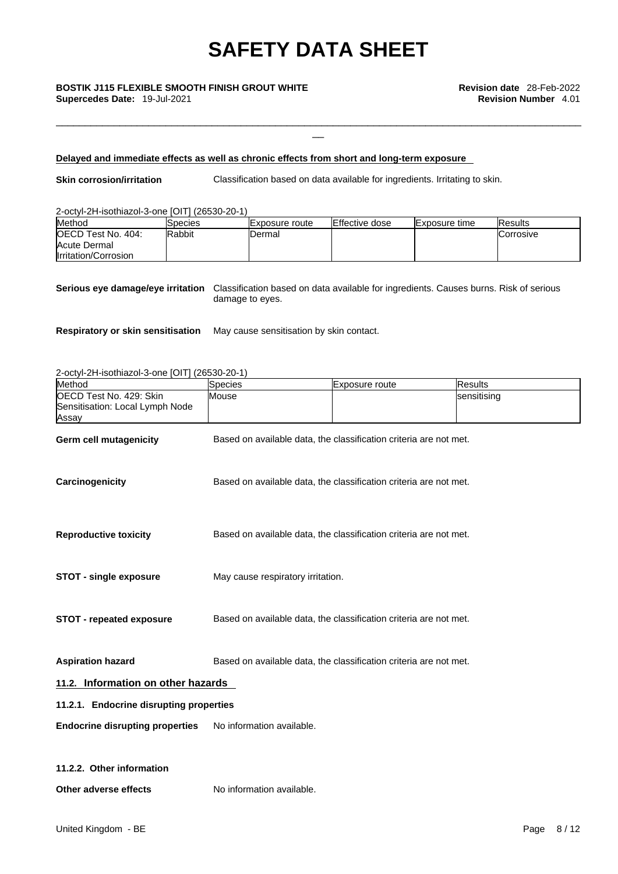\_\_ **BOSTIK J115 FLEXIBLE SMOOTH FINISH GROUT WHITE Revision date** 28-Feb-2022 **Supercedes Date:** 19-Jul-2021 **Revision Number** 4.01

#### **Delayed and immediate effects as well as chronic effects from short and long-term exposure**

**Skin corrosion/irritation** Classification based on data available for ingredients. Irritating to skin.

\_\_\_\_\_\_\_\_\_\_\_\_\_\_\_\_\_\_\_\_\_\_\_\_\_\_\_\_\_\_\_\_\_\_\_\_\_\_\_\_\_\_\_\_\_\_\_\_\_\_\_\_\_\_\_\_\_\_\_\_\_\_\_\_\_\_\_\_\_\_\_\_\_\_\_\_\_\_\_\_\_\_\_\_\_\_\_\_\_\_\_

#### 2-octyl-2H-isothiazol-3-one [OIT] (26530-20-1)

| Method                     | <b>ISpecies</b> | lExposure route | Effective dose | <b>IExposure time</b> | <b>IResults</b>   |
|----------------------------|-----------------|-----------------|----------------|-----------------------|-------------------|
| <b>IOECD Test No. 404:</b> | <b>Rabbit</b>   | Dermal          |                |                       | <b>ICorrosive</b> |
| Acute Dermal               |                 |                 |                |                       |                   |
| Irritation/Corrosion       |                 |                 |                |                       |                   |

**Serious eye damage/eye irritation** Classification based on data available for ingredients. Causes burns. Risk of serious damage to eyes.

**Respiratory or skin sensitisation** May cause sensitisation by skin contact.

#### 2-octyl-2H-isothiazol-3-one [OIT] (26530-20-1)

| Method                                                              | Species                                                           | Exposure route                                                    | <b>Results</b> |
|---------------------------------------------------------------------|-------------------------------------------------------------------|-------------------------------------------------------------------|----------------|
| OECD Test No. 429: Skin<br>Sensitisation: Local Lymph Node<br>Assay | Mouse                                                             |                                                                   | sensitising    |
| Germ cell mutagenicity                                              |                                                                   | Based on available data, the classification criteria are not met. |                |
| Carcinogenicity                                                     | Based on available data, the classification criteria are not met. |                                                                   |                |
| <b>Reproductive toxicity</b>                                        |                                                                   | Based on available data, the classification criteria are not met. |                |
| <b>STOT - single exposure</b>                                       | May cause respiratory irritation.                                 |                                                                   |                |
| <b>STOT - repeated exposure</b>                                     | Based on available data, the classification criteria are not met. |                                                                   |                |
| <b>Aspiration hazard</b>                                            | Based on available data, the classification criteria are not met. |                                                                   |                |
| 11.2. Information on other hazards                                  |                                                                   |                                                                   |                |
| 11.2.1. Endocrine disrupting properties                             |                                                                   |                                                                   |                |
| <b>Endocrine disrupting properties</b>                              | No information available.                                         |                                                                   |                |
| 11.2.2. Other information                                           |                                                                   |                                                                   |                |
| Other adverse effects                                               | No information available.                                         |                                                                   |                |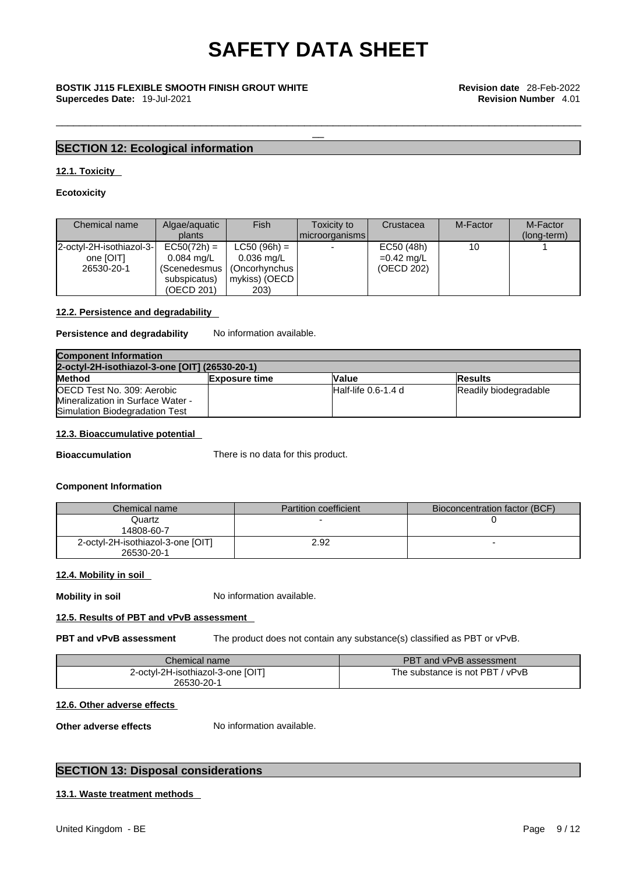\_\_\_\_\_\_\_\_\_\_\_\_\_\_\_\_\_\_\_\_\_\_\_\_\_\_\_\_\_\_\_\_\_\_\_\_\_\_\_\_\_\_\_\_\_\_\_\_\_\_\_\_\_\_\_\_\_\_\_\_\_\_\_\_\_\_\_\_\_\_\_\_\_\_\_\_\_\_\_\_\_\_\_\_\_\_\_\_\_\_\_

# \_\_ **BOSTIK J115 FLEXIBLE SMOOTH FINISH GROUT WHITE Revision date** 28-Feb-2022 **Supercedes Date:** 19-Jul-2021 **Revision Number** 4.01

### **SECTION 12: Ecological information**

#### **12.1. Toxicity**

#### **Ecotoxicity**

| Chemical name                                       | Algae/aquatic<br>plants                                                               | Fish                                                                                     | <b>Toxicity to</b><br>I microorganisms l | Crustacea                                | M-Factor | M-Factor<br>(long-term) |
|-----------------------------------------------------|---------------------------------------------------------------------------------------|------------------------------------------------------------------------------------------|------------------------------------------|------------------------------------------|----------|-------------------------|
| 2-octyl-2H-isothiazol-3-<br>one [OIT]<br>26530-20-1 | $EC50(72h) =$<br>$0.084 \text{ ma/L}$<br>(Scenedesmus I<br>subspicatus)<br>(OECD 201) | $LC50 (96h) =$<br>$0.036 \,\mathrm{mag/L}$<br>(Oncorhynchus<br>  mykiss) (OECD  <br>203) |                                          | EC50 (48h)<br>$=0.42$ mg/L<br>(OECD 202) |          |                         |

### **12.2. Persistence and degradability**

#### **Persistence and degradability** No information available.

| <b>Component Information</b>                   |                      |                        |                       |  |  |
|------------------------------------------------|----------------------|------------------------|-----------------------|--|--|
| 2-octyl-2H-isothiazol-3-one [OIT] (26530-20-1) |                      |                        |                       |  |  |
| <b>Method</b>                                  | <b>Exposure time</b> | Value                  | <b>IResults</b>       |  |  |
| OECD Test No. 309: Aerobic                     |                      | $H$ alf-life 0.6-1.4 d | Readily biodegradable |  |  |
| Mineralization in Surface Water -              |                      |                        |                       |  |  |
| Simulation Biodegradation Test                 |                      |                        |                       |  |  |

#### **12.3. Bioaccumulative potential**

**Bioaccumulation** There is no data for this product.

#### **Component Information**

| Chemical name                                   | <b>Partition coefficient</b> | Bioconcentration factor (BCF) |
|-------------------------------------------------|------------------------------|-------------------------------|
| Quartz<br>14808-60-7                            |                              |                               |
| 2-octyl-2H-isothiazol-3-one [OIT]<br>26530-20-1 | 2.92                         |                               |

#### **12.4. Mobility in soil**

**Mobility in soil** No information available.

#### **12.5. Results of PBT and vPvB assessment**

**PBT and vPvB assessment** The product does not contain any substance(s) classified as PBT or vPvB.

| Chemical name                                   | PBT and vPvB assessment         |
|-------------------------------------------------|---------------------------------|
| 2-octvl-2H-isothiazol-3-one [OIT]<br>26530-20-1 | The substance is not PBT / vPvB |

#### **12.6. Other adverse effects**

**Other adverse effects** No information available.

### **SECTION 13: Disposal considerations**

#### **13.1. Waste treatment methods**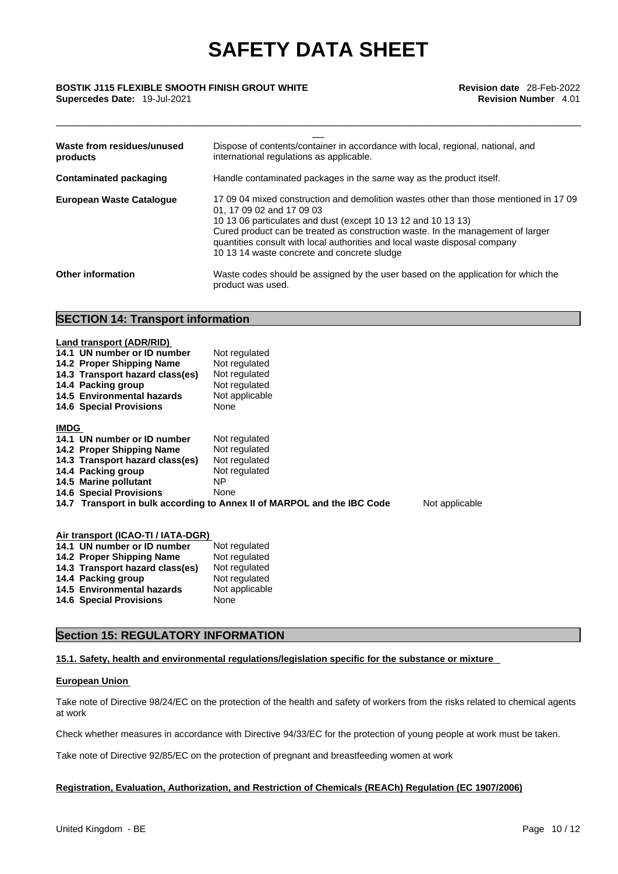\_\_\_\_\_\_\_\_\_\_\_\_\_\_\_\_\_\_\_\_\_\_\_\_\_\_\_\_\_\_\_\_\_\_\_\_\_\_\_\_\_\_\_\_\_\_\_\_\_\_\_\_\_\_\_\_\_\_\_\_\_\_\_\_\_\_\_\_\_\_\_\_\_\_\_\_\_\_\_\_\_\_\_\_\_\_\_\_\_\_\_

# \_\_ **BOSTIK J115 FLEXIBLE SMOOTH FINISH GROUT WHITE Revision date** 28-Feb-2022 **Supercedes Date:** 19-Jul-2021 **Revision Number** 4.01

| Waste from residues/unused<br>products | Dispose of contents/container in accordance with local, regional, national, and<br>international regulations as applicable.                                                                                                                                                                                                                                                                         |
|----------------------------------------|-----------------------------------------------------------------------------------------------------------------------------------------------------------------------------------------------------------------------------------------------------------------------------------------------------------------------------------------------------------------------------------------------------|
| <b>Contaminated packaging</b>          | Handle contaminated packages in the same way as the product itself.                                                                                                                                                                                                                                                                                                                                 |
| <b>European Waste Cataloque</b>        | 17 09 04 mixed construction and demolition wastes other than those mentioned in 17 09<br>01, 17 09 02 and 17 09 03<br>10 13 06 particulates and dust (except 10 13 12 and 10 13 13)<br>Cured product can be treated as construction waste. In the management of larger<br>quantities consult with local authorities and local waste disposal company<br>10 13 14 waste concrete and concrete sludge |
| <b>Other information</b>               | Waste codes should be assigned by the user based on the application for which the<br>product was used.                                                                                                                                                                                                                                                                                              |

#### **SECTION 14: Transport information**

|             | Land transport (ADR/RID)           |                                                                         |                |
|-------------|------------------------------------|-------------------------------------------------------------------------|----------------|
|             | 14.1 UN number or ID number        | Not regulated                                                           |                |
|             | 14.2 Proper Shipping Name          | Not regulated                                                           |                |
|             | 14.3 Transport hazard class(es)    | Not regulated                                                           |                |
|             | 14.4 Packing group                 | Not regulated                                                           |                |
|             | 14.5 Environmental hazards         | Not applicable                                                          |                |
|             | <b>14.6 Special Provisions</b>     | None                                                                    |                |
| <b>IMDG</b> |                                    |                                                                         |                |
|             | 14.1 UN number or ID number        | Not regulated                                                           |                |
|             | 14.2 Proper Shipping Name          | Not regulated                                                           |                |
|             | 14.3 Transport hazard class(es)    | Not regulated                                                           |                |
|             | 14.4 Packing group                 | Not regulated                                                           |                |
|             | 14.5 Marine pollutant              | ΝP                                                                      |                |
|             | <b>14.6 Special Provisions</b>     | None                                                                    |                |
|             |                                    | 14.7 Transport in bulk according to Annex II of MARPOL and the IBC Code | Not applicable |
|             |                                    |                                                                         |                |
|             | Air transport (ICAO-TI / IATA-DGR) |                                                                         |                |
|             | 14.1 UN number or ID number        | Not regulated                                                           |                |
|             | 14.2. Droner Shinning Name         | Not requisited                                                          |                |

| All' transport (ICAO-TI / IATA-DGR) |                |
|-------------------------------------|----------------|
| 14.1 UN number or ID number         | Not regulated  |
| 14.2 Proper Shipping Name           | Not regulated  |
| 14.3 Transport hazard class(es)     | Not regulated  |
| 14.4 Packing group                  | Not regulated  |
| 14.5 Environmental hazards          | Not applicable |
| <b>14.6 Special Provisions</b>      | None           |
|                                     |                |

### **Section 15: REGULATORY INFORMATION**

#### **15.1. Safety, health and environmental regulations/legislation specific for the substance or mixture**

#### **European Union**

Take note of Directive 98/24/EC on the protection of the health and safety of workers from the risks related to chemical agents at work

Check whether measures in accordance with Directive 94/33/EC for the protection of young people at work must be taken.

Take note of Directive 92/85/EC on the protection of pregnant and breastfeeding women at work

#### **Registration, Evaluation, Authorization, and Restriction of Chemicals (REACh) Regulation (EC 1907/2006)**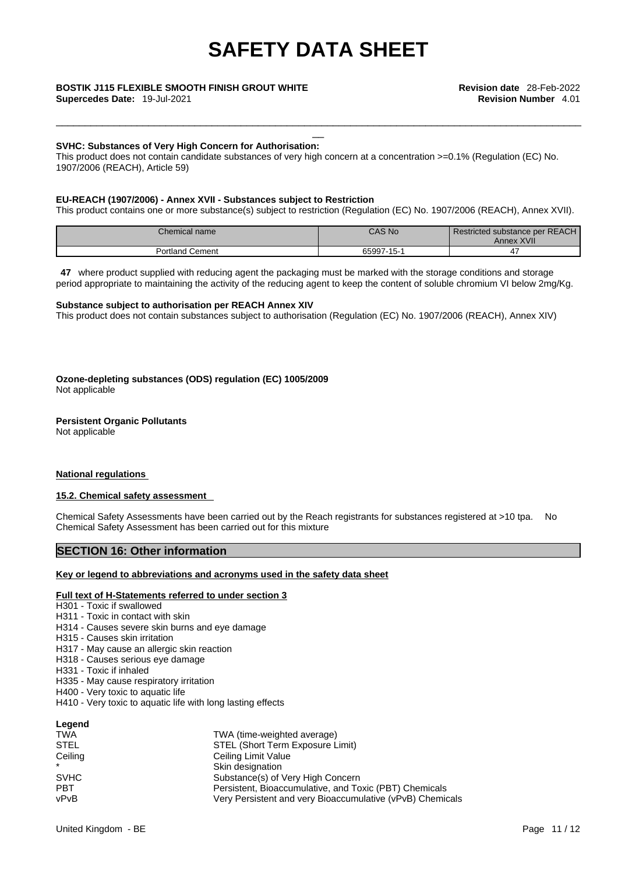\_\_\_\_\_\_\_\_\_\_\_\_\_\_\_\_\_\_\_\_\_\_\_\_\_\_\_\_\_\_\_\_\_\_\_\_\_\_\_\_\_\_\_\_\_\_\_\_\_\_\_\_\_\_\_\_\_\_\_\_\_\_\_\_\_\_\_\_\_\_\_\_\_\_\_\_\_\_\_\_\_\_\_\_\_\_\_\_\_\_\_

# \_\_ **BOSTIK J115 FLEXIBLE SMOOTH FINISH GROUT WHITE Revision date** 28-Feb-2022

**Supercedes Date:** 19-Jul-2021 **Revision Number** 4.01

#### **SVHC: Substances of Very High Concern for Authorisation:**

This product does not contain candidate substances of very high concern at a concentration >=0.1% (Regulation (EC) No. 1907/2006 (REACH), Article 59)

#### **EU-REACH (1907/2006) - Annex XVII - Substances subject to Restriction**

This product contains one or more substance(s) subject to restriction (Regulation (EC) No. 1907/2006 (REACH), Annex XVII).

| Chemical name                   | <b>CAS No</b> | Restricted substance per REACH<br>Annex XVII |
|---------------------------------|---------------|----------------------------------------------|
| <sup>1</sup> Cement<br>Portland | 65997-15-1    |                                              |

**47** where product supplied with reducing agent the packaging must be marked with the storage conditions and storage period appropriate to maintaining the activity of the reducing agent to keep the content of soluble chromium VI below 2mg/Kg.

### **Substance subject to authorisation per REACH Annex XIV**

This product does not contain substances subject to authorisation (Regulation (EC) No. 1907/2006 (REACH), Annex XIV)

### **Ozone-depleting substances (ODS) regulation (EC) 1005/2009**

Not applicable

#### **Persistent Organic Pollutants**

Not applicable

#### **National regulations**

#### **15.2. Chemical safety assessment**

Chemical Safety Assessments have been carried out by the Reach registrants for substances registered at >10 tpa. No Chemical Safety Assessment has been carried out for this mixture

#### **SECTION 16: Other information**

#### **Key or legend to abbreviations and acronyms used in the safety data sheet**

#### **Full text of H-Statements referred to under section 3**

- H301 Toxic if swallowed
- H311 Toxic in contact with skin
- H314 Causes severe skin burns and eye damage
- H315 Causes skin irritation
- H317 May cause an allergic skin reaction
- H318 Causes serious eye damage
- H331 Toxic if inhaled
- H335 May cause respiratory irritation
- H400 Very toxic to aquatic life
- H410 Very toxic to aquatic life with long lasting effects

| Legend      |                                                           |
|-------------|-----------------------------------------------------------|
| <b>TWA</b>  | TWA (time-weighted average)                               |
| <b>STEL</b> | STEL (Short Term Exposure Limit)                          |
| Ceiling     | Ceiling Limit Value                                       |
| $\star$     | Skin designation                                          |
| <b>SVHC</b> | Substance(s) of Very High Concern                         |
| <b>PBT</b>  | Persistent, Bioaccumulative, and Toxic (PBT) Chemicals    |
| vPvB        | Very Persistent and very Bioaccumulative (vPvB) Chemicals |